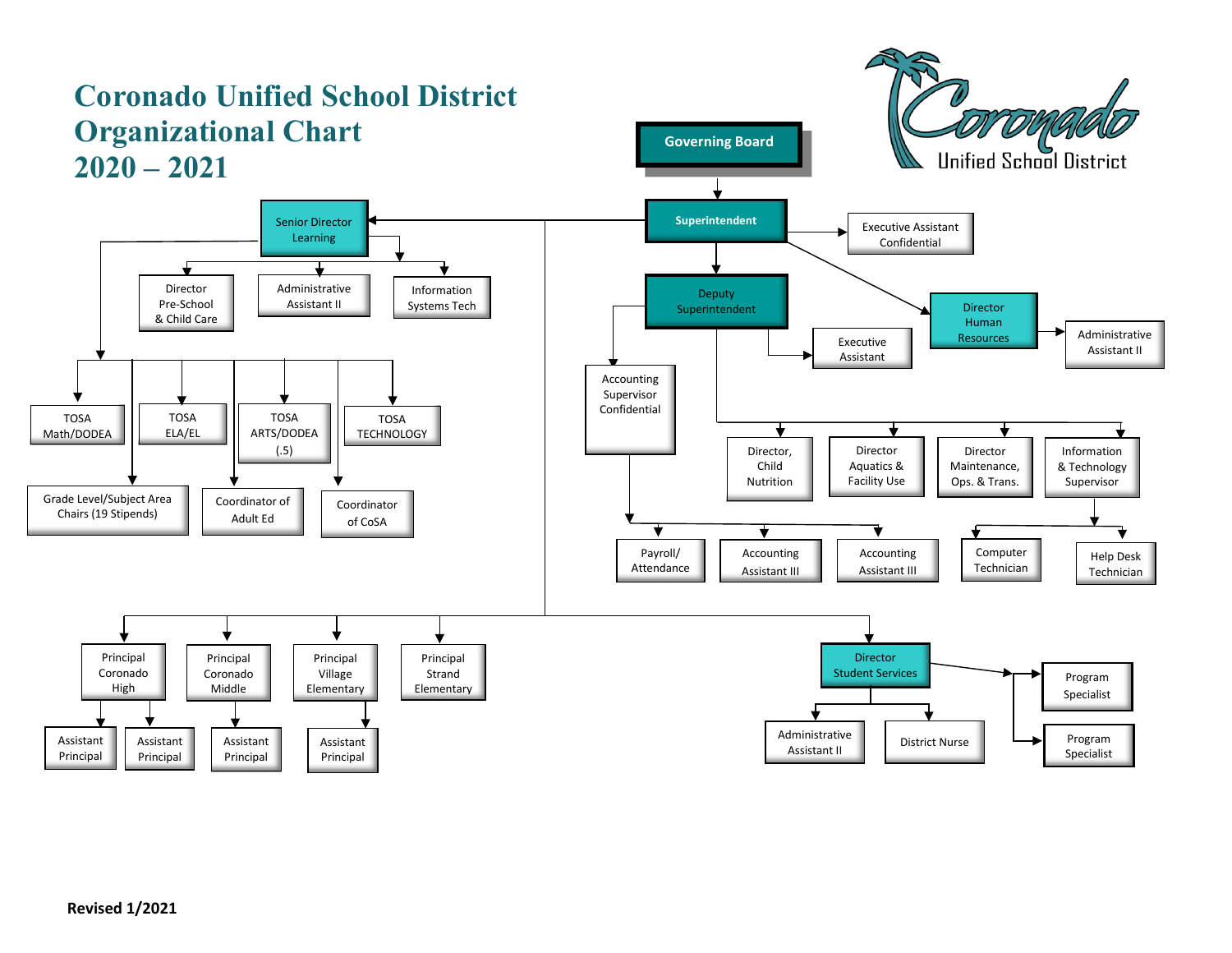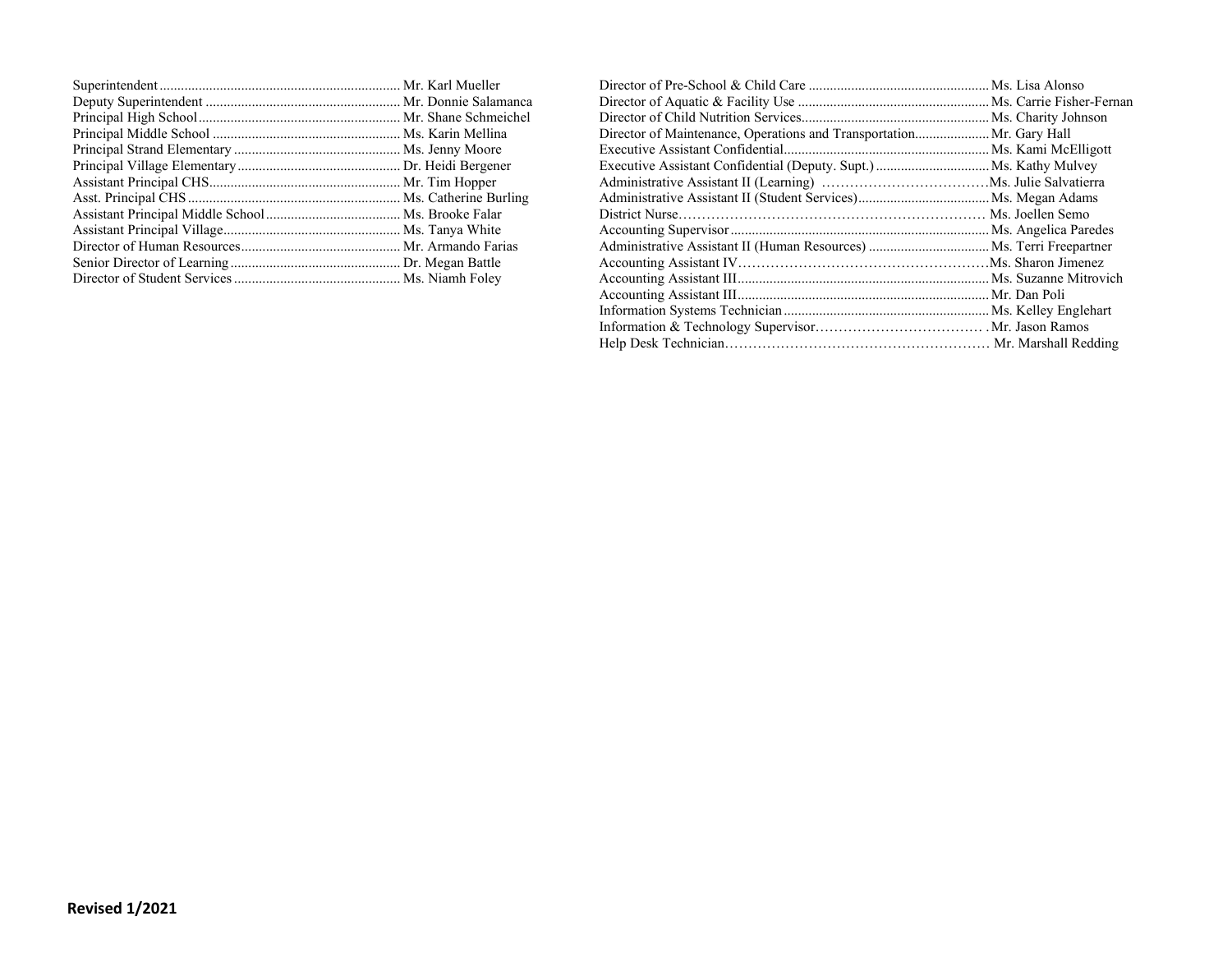|  | Director of Maintenance, Operations and Transportation Mr. Gary Hall |  |
|--|----------------------------------------------------------------------|--|
|  |                                                                      |  |
|  |                                                                      |  |
|  |                                                                      |  |
|  |                                                                      |  |
|  |                                                                      |  |
|  |                                                                      |  |
|  |                                                                      |  |
|  |                                                                      |  |
|  |                                                                      |  |
|  |                                                                      |  |
|  |                                                                      |  |
|  |                                                                      |  |
|  |                                                                      |  |